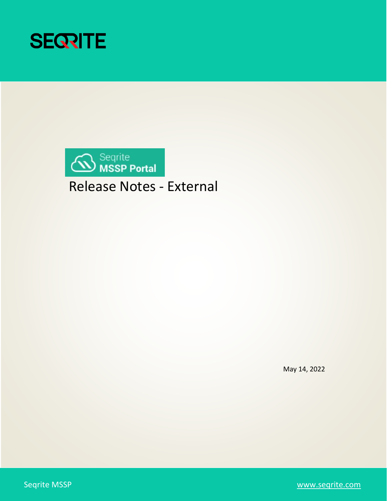



Release Notes - External

May 14, 2022

Seqrite MSSP [www.seqrite.com](http://www.seqrite.com/)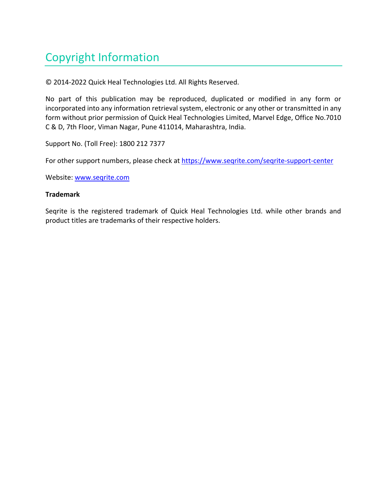# Copyright Information

© 2014-2022 Quick Heal Technologies Ltd. All Rights Reserved.

No part of this publication may be reproduced, duplicated or modified in any form or incorporated into any information retrieval system, electronic or any other or transmitted in any form without prior permission of Quick Heal Technologies Limited, Marvel Edge, Office No.7010 C & D, 7th Floor, Viman Nagar, Pune 411014, Maharashtra, India.

Support No. (Toll Free): 1800 212 7377

For other support numbers, please check at https://www.segrite.com/segrite-support-center

Website: [www.seqrite.com](https://www.seqrite.com/seqrite-support-center/)

#### **Trademark**

Seqrite is the registered trademark of Quick Heal Technologies Ltd. while other brands and product titles are trademarks of their respective holders.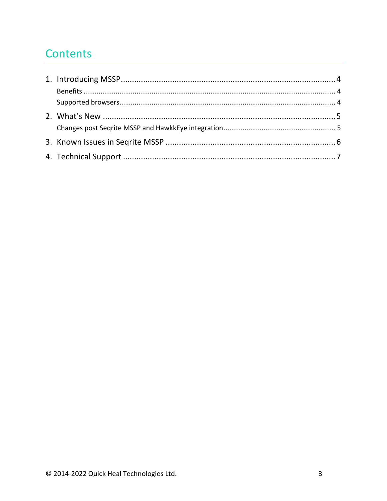### Contents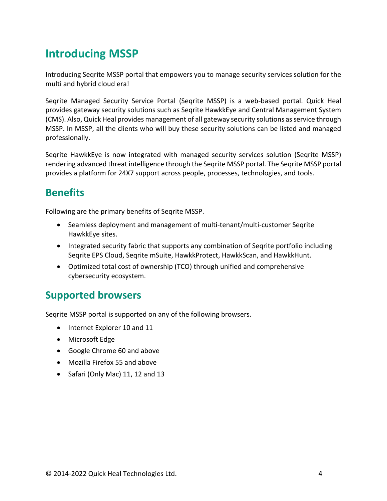## <span id="page-3-0"></span>**Introducing MSSP**

Introducing Seqrite MSSP portal that empowers you to manage security services solution for the multi and hybrid cloud era!

Seqrite Managed Security Service Portal (Seqrite MSSP) is a web-based portal. Quick Heal provides gateway security solutions such as Seqrite HawkkEye and Central Management System (CMS). Also, Quick Heal provides management of all gateway security solutions as service through MSSP. In MSSP, all the clients who will buy these security solutions can be listed and managed professionally.

Seqrite HawkkEye is now integrated with managed security services solution (Seqrite MSSP) rendering advanced threat intelligence through the Seqrite MSSP portal. The Seqrite MSSP portal provides a platform for 24X7 support across people, processes, technologies, and tools.

### <span id="page-3-1"></span>**Benefits**

Following are the primary benefits of Seqrite MSSP.

- Seamless deployment and management of multi-tenant/multi-customer Seqrite HawkkEye sites.
- Integrated security fabric that supports any combination of Seqrite portfolio including Seqrite EPS Cloud, Seqrite mSuite, HawkkProtect, HawkkScan, and HawkkHunt.
- Optimized total cost of ownership (TCO) through unified and comprehensive cybersecurity ecosystem.

#### <span id="page-3-2"></span>**Supported browsers**

Seqrite MSSP portal is supported on any of the following browsers.

- Internet Explorer 10 and 11
- Microsoft Edge
- Google Chrome 60 and above
- Mozilla Firefox 55 and above
- Safari (Only Mac) 11, 12 and 13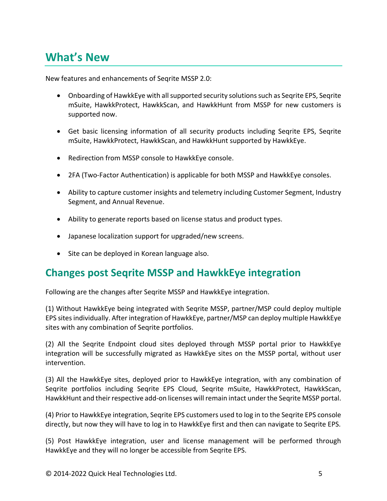### <span id="page-4-0"></span>**What's New**

New features and enhancements of Seqrite MSSP 2.0:

- Onboarding of HawkkEye with all supported security solutions such as Seqrite EPS, Seqrite mSuite, HawkkProtect, HawkkScan, and HawkkHunt from MSSP for new customers is supported now.
- Get basic licensing information of all security products including Seqrite EPS, Seqrite mSuite, HawkkProtect, HawkkScan, and HawkkHunt supported by HawkkEye.
- Redirection from MSSP console to HawkkEye console.
- 2FA (Two-Factor Authentication) is applicable for both MSSP and HawkkEye consoles.
- Ability to capture customer insights and telemetry including Customer Segment, Industry Segment, and Annual Revenue.
- Ability to generate reports based on license status and product types.
- Japanese localization support for upgraded/new screens.
- Site can be deployed in Korean language also.

#### <span id="page-4-1"></span>**Changes post Seqrite MSSP and HawkkEye integration**

Following are the changes after Seqrite MSSP and HawkkEye integration.

(1) Without HawkkEye being integrated with Seqrite MSSP, partner/MSP could deploy multiple EPS sites individually. After integration of HawkkEye, partner/MSP can deploy multiple HawkkEye sites with any combination of Seqrite portfolios.

(2) All the Seqrite Endpoint cloud sites deployed through MSSP portal prior to HawkkEye integration will be successfully migrated as HawkkEye sites on the MSSP portal, without user intervention.

(3) All the HawkkEye sites, deployed prior to HawkkEye integration, with any combination of Seqrite portfolios including Seqrite EPS Cloud, Seqrite mSuite, HawkkProtect, HawkkScan, HawkkHunt and their respective add-on licenses will remain intact under the Seqrite MSSP portal.

(4) Prior to HawkkEye integration, Seqrite EPS customers used to log in to the Seqrite EPS console directly, but now they will have to log in to HawkkEye first and then can navigate to Seqrite EPS.

(5) Post HawkkEye integration, user and license management will be performed through HawkkEye and they will no longer be accessible from Seqrite EPS.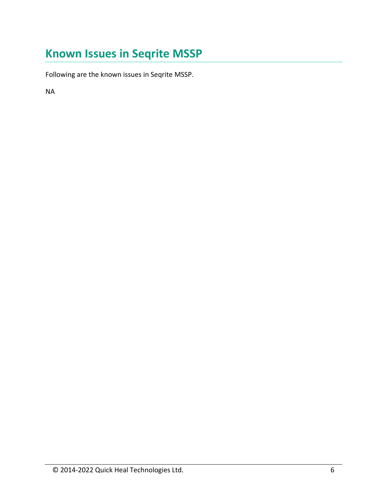# <span id="page-5-0"></span>**Known Issues in Seqrite MSSP**

Following are the known issues in Seqrite MSSP.

NA